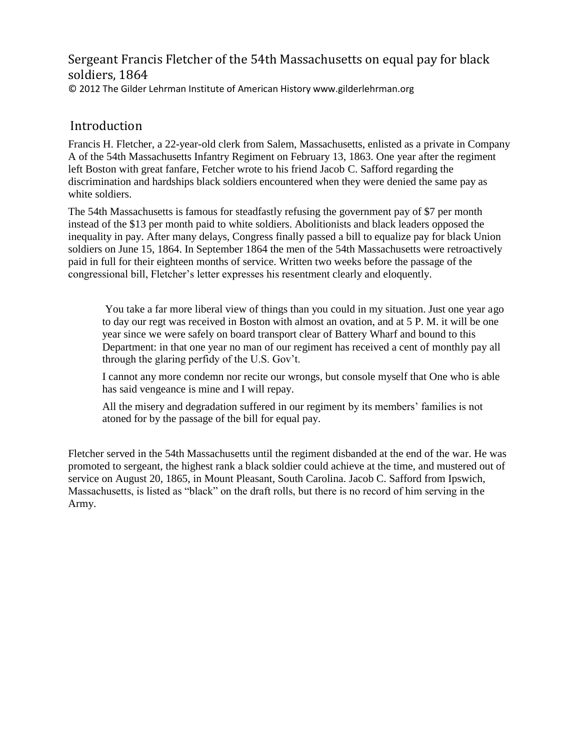## Sergeant Francis Fletcher of the 54th Massachusetts on equal pay for black soldiers, 1864 © 2012 The Gilder Lehrman Institute of American History www.gilderlehrman.org

## Introduction

Francis H. Fletcher, a 22-year-old clerk from Salem, Massachusetts, enlisted as a private in Company A of the 54th Massachusetts Infantry Regiment on February 13, 1863. One year after the regiment left Boston with great fanfare, Fetcher wrote to his friend Jacob C. Safford regarding the discrimination and hardships black soldiers encountered when they were denied the same pay as white soldiers.

The 54th Massachusetts is famous for steadfastly refusing the government pay of \$7 per month instead of the \$13 per month paid to white soldiers. Abolitionists and black leaders opposed the inequality in pay. After many delays, Congress finally passed a bill to equalize pay for black Union soldiers on June 15, 1864. In September 1864 the men of the 54th Massachusetts were retroactively paid in full for their eighteen months of service. Written two weeks before the passage of the congressional bill, Fletcher's letter expresses his resentment clearly and eloquently.

You take a far more liberal view of things than you could in my situation. Just one year ago to day our regt was received in Boston with almost an ovation, and at 5 P. M. it will be one year since we were safely on board transport clear of Battery Wharf and bound to this Department: in that one year no man of our regiment has received a cent of monthly pay all through the glaring perfidy of the U.S. Gov't.

I cannot any more condemn nor recite our wrongs, but console myself that One who is able has said vengeance is mine and I will repay.

All the misery and degradation suffered in our regiment by its members' families is not atoned for by the passage of the bill for equal pay.

Fletcher served in the 54th Massachusetts until the regiment disbanded at the end of the war. He was promoted to sergeant, the highest rank a black soldier could achieve at the time, and mustered out of service on August 20, 1865, in Mount Pleasant, South Carolina. Jacob C. Safford from Ipswich, Massachusetts, is listed as "black" on the draft rolls, but there is no record of him serving in the Army.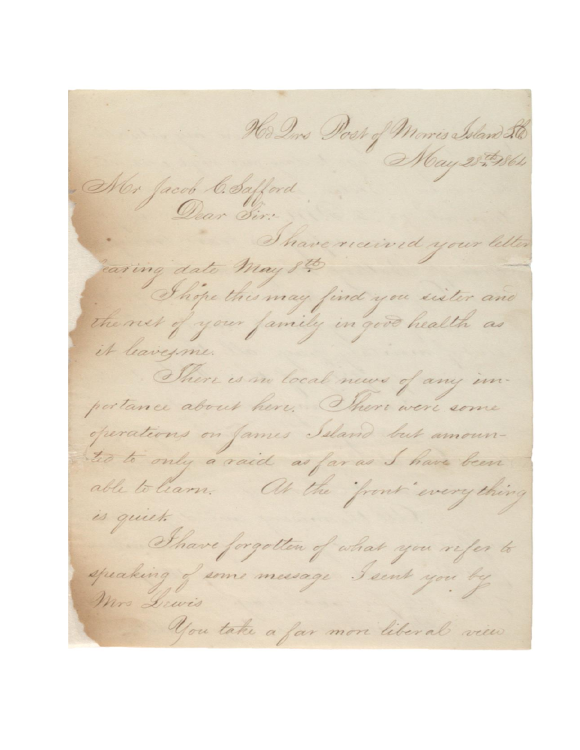Ho Dirs Post of Morris Island 20 May 28-19864 Mor Jacob C. Safford Dear Sir: have received earing date May 8th Those this may find you sister and the net of your family in good health as it leavesme. There is no local news of any impertance about here. There were some operations on James Island but amounted to only a raid as far as I have been able to learn. At the front everything is quiet. Thave forgotten of what you refer to speaking of some message I sent you by Mrs Dewis You take a far more liberal view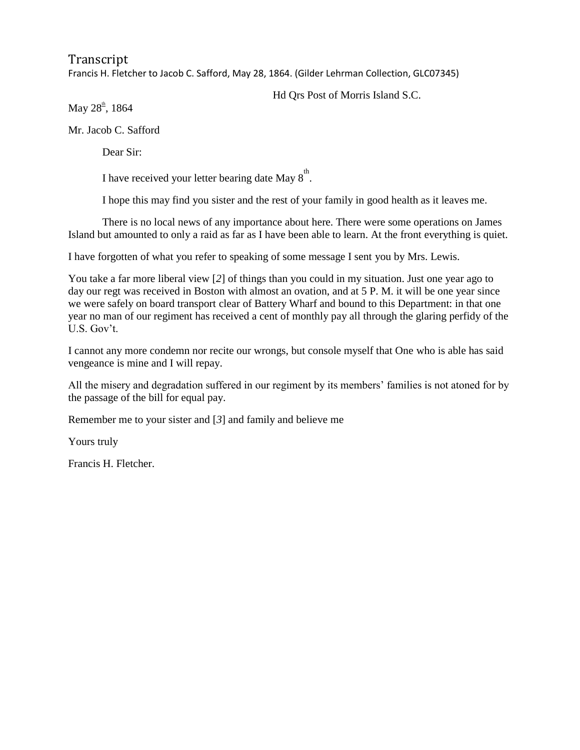Transcript Francis H. Fletcher to Jacob C. Safford, May 28, 1864. (Gilder Lehrman Collection, GLC07345)

Hd Qrs Post of Morris Island S.C.

May  $28^{\text{th}}$ , 1864

Mr. Jacob C. Safford

Dear Sir:

I have received your letter bearing date May  $8^{\text{th}}$ .

I hope this may find you sister and the rest of your family in good health as it leaves me.

There is no local news of any importance about here. There were some operations on James Island but amounted to only a raid as far as I have been able to learn. At the front everything is quiet.

I have forgotten of what you refer to speaking of some message I sent you by Mrs. Lewis.

You take a far more liberal view [2] of things than you could in my situation. Just one year ago to day our regt was received in Boston with almost an ovation, and at 5 P. M. it will be one year since we were safely on board transport clear of Battery Wharf and bound to this Department: in that one year no man of our regiment has received a cent of monthly pay all through the glaring perfidy of the U.S. Gov't.

I cannot any more condemn nor recite our wrongs, but console myself that One who is able has said vengeance is mine and I will repay.

All the misery and degradation suffered in our regiment by its members' families is not atoned for by the passage of the bill for equal pay.

Remember me to your sister and [*3*] and family and believe me

Yours truly

Francis H. Fletcher.